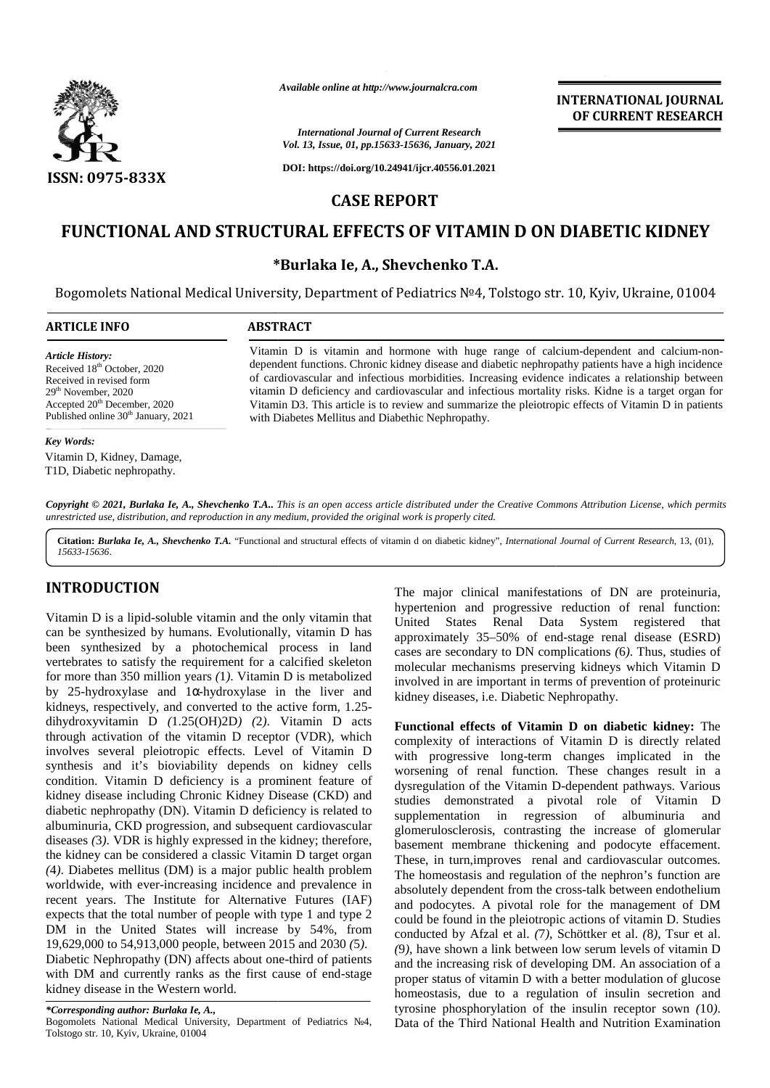

*Available online at http://www.journalcra.com*

### *International Journal of Current Research Vol. 13, Issue, 01, pp.15633-15636, January, 2021*

**DOI: https://doi.org/10.24941/ijcr.40556.01.2021**

# **CASE REPORT**

# FUNCTIONAL AND STRUCTURAL EFFECTS OF VITAMIN **D** ON DIABETIC KIDNEY

**\*Burlaka Ie, A., Shevchenko T.A. A., Shevchenko T.A.**

Bogomolets National Medical University, Department of Pediatrics №4, Tolstogo str. 10, Kyiv, Ukraine, 01004

## **ARTICLE INFO ABSTRACT ARTICLE ABSTRACT**

*Article History:* Received 18<sup>th</sup> October, 2020 Received in revised form 29th November, 2020 Accepted 20<sup>th</sup> December, 2020 Published online 30<sup>th</sup> January, 2021

Vitamin D is vitamin and hormone with huge range of calcium-dependent and calcium-non dependent functions. Chronic kidney disease and diabetic nephropathy patients have a high incidence of cardiovascular and infectious morbidities. Increasing evidence indicates a relationship between vitamin D deficiency and cardiovascular and infectious mortality risks. Kidne is a target organ for Vitamin D3. This article is to review and summarize the pleiotropic effects of Vitamin D in patients with Diabetes Mellitus and Diabethic Nephropathy. If is vitamin and hormone with huge range of calcium-dependent and functions. Chronic kidney disease and diabetic nephropathy patients have ascular and infectious morbidities. Increasing evidence indicates a relat deficien Available online at http://www.journalcra.com<br>
TITERNATIONAL IS and the contrast of the contrast of the contrast of the contrast of the contrast of the contrast of the contrast of the contrast of the contrast of the contra

### *Key Words:*

Vitamin D, Kidney, Damage, T1D, Diabetic nephropathy.

**Copyright © 2021, Burlaka Ie, A., Shevchenko T.A..** This is an open access article distributed under the Creative Commons Attribution License, which permits<br>unrestricted use, distribution, and reproduction in any medium, *unrestricted use,distribution, and reproduction in any medium, provided the original work is properly cited.*

**Citation:** *Burlaka Ie, A., Shevchenko T.A.* "Functional and structural effects of vitamin d on diabetic kidney", *International Journal of Current Research*, 13, (01), *15633-15636*.

## **INTRODUCTION INTRODUCTION**

Vitamin D is a lipid-soluble vitamin and the only vitamin that can be synthesized by humans. Evolutionally, vitamin D has been synthesized by a photochemical process in land vertebrates to satisfy the requirement for a calcified skeleton for more than 350 million years *(*1*)*. Vitamin D is metabolized by 25-hydroxylase and 1 -hydroxylase in the liver and kidneys, respectively, and converted to the active form,  $1.25$ dihydroxyvitamin D *(*1.25(OH)2D*) (*2*)*. Vitamin D acts through activation of the vitamin D receptor (VDR), which involves several pleiotropic effects. Level of Vitamin D synthesis and it's bioviability depends on kidney cells  $\mathbf{w}$ condition. Vitamin D deficiency is a prominent feature of kidney disease including Chronic Kidney Disease (CKD) and diabetic nephropathy (DN). Vitamin D deficiency is related to albuminuria, CKD progression, and subsequent cardiovascular diseases *(*3*)*. VDR is highly expressed in the kidney; therefore, the kidney disease including Chronic Kidney Disease (CKD) and<br>diabetic nephropathy (DN). Vitamin D deficiency is related to<br>albuminuria, CKD progression, and subsequent cardiovascular<br>diseases (3). VDR is highly expressed *(*4*)*. Diabetes mellitus (DM) is a major public health problem worldwide, with ever-increasing incidence and prevalence in recent years. The Institute for Alternative Futures (IAF) expects that the total number of people with type 1 and type 2 (4). Diabetes mellitus (DM) is a major public health problem<br>worldwide, with ever-increasing incidence and prevalence in<br>recent years. The Institute for Alternative Futures (IAF)<br>expects that the total number of people wit 19,629,000 to 54,913,000 people, between 2015 and 2030 *(*5*)*. Diabetic Nephropathy (DN) affects about one-third of patients  $\frac{1}{2}$ with DM and currently ranks as the first cause of end-stage kidney disease in the Western world. Vitamin D is a lipid-soluble vitamin and the only vitamin that<br>can be synthesized by humans. Evolutionally, vitamin D has<br>been synthesized by a photochemical process in land<br>vertebrates to satisfy the requirement for a cal 19,629,000 to 54,913,000 people, between 2015 and 2030 (5).<br>Diabetic Nephropathy (DN) affects about one-third of patients<br>with DM and currently ranks as the first cause of end-stage<br>kidney disease in the Western world. The main State of Virtumin Distorbiositics and the only virtumin that the major chirds in the magnifications of DN are proximinal the constrained by the magnification of the magnification in a synthesized by humans. Evolut

The major clinical manifestations of DN are proteinuria, hypertenion and progressive reduction of renal function: United States Renal Data System registered that approximately 35–50% of end-stage renal disease (ESRD) cases are secondary to DN complications (6). Thus, studies of molecular mechanisms preserving kidneys which Vitamin D involved in are important in terms of prevention of proteinuric kidney diseases, i.e. Diabetic Nephropat molecular mechanisms preserving kidneys which Vitamin D involved in are important in terms of prevention of proteinuric kidney diseases, i.e. Diabetic Nephropathy.

**INTERNATIONAL JOURNAL OF CURRENT RESEARCH**

**Functional effects of Vitamin D on diabetic kidney:** The complexity of interactions of Vitamin D is directly related with progressive long-term changes implicated in the worsening of renal function. These changes result in a dysregulation of the Vitamin D-dependent pathways. Various studies demonstrated a pivotal role of Vitamin D supplementation in regression of albuminuria and glomerulosclerosis, contrasting the increase of glomerular basement membrane thickening and podocyte effacement. These, in turn,improves renal and cardiovascular outcomes. The homeostasis and regulation of the nephron's function are absolutely dependent from the cross-talk between endothelium and podocytes. A pivotal role for the management of DM could be found in the pleiotropic actions of vitamin D. Studies conducted by Afzal et al. *(*7*)*, Schöttker et al. *(*8*)*, Tsur et al. *(*9*)*, have shown a link between low serum levels of vitamin D and the increasing risk of developing DM. An association of a proper status of vitamin D with a better modulation of glucose (9), have shown a link between low serum levels of vitamin D<br>and the increasing risk of developing DM. An association of a<br>proper status of vitamin D with a better modulation of glucose<br>homeostasis, due to a regulation of tyrosine phosphorylation of the insulin receptor sown *(*10*)*. Data of the Third National Health and Nutrition Examination complexity of interactions of Vitamin D is directly related<br>with progressive long-term changes implicated in the<br>worsening of renal function. These changes result in a<br>dysregulation of the Vitamin D-dependent pathways. Var ndent from the cross-talk between endothelium<br>A pivotal role for the management of DM<br>in the pleiotropic actions of vitamin D. Studies<br>ofzal et al. (7), Schöttker et al. (8), Tsur et al. **(10**)  $\frac{ln \tan \tan \theta}{1 + ln \tan \theta}$  **Consider the control of the state of the state of the state of the state of the state of the state of the state of the state of the state of the state of the state of the state of the state of** IM<br> **Entraitional Journal of Current Research**<br> **Extraga, 01, pp.15633-15636, January, 2021**<br> **EASE REPORT**<br> **EASE REPORT**<br> **EASE REPORT**<br> **EASE REPORT**<br> **EASE REPORT**<br> **EASE REPORT**<br> **EASE REPORT**<br> **EASE REPORT**<br> **EASE RE** 

*<sup>\*</sup>Corresponding author: Burlaka Ie, A., \*Corresponding A.,*Bogomolets National Medical University, Department of Pediatrics 4, Tolstogo str. 10, Kyiv, Ukraine, 01004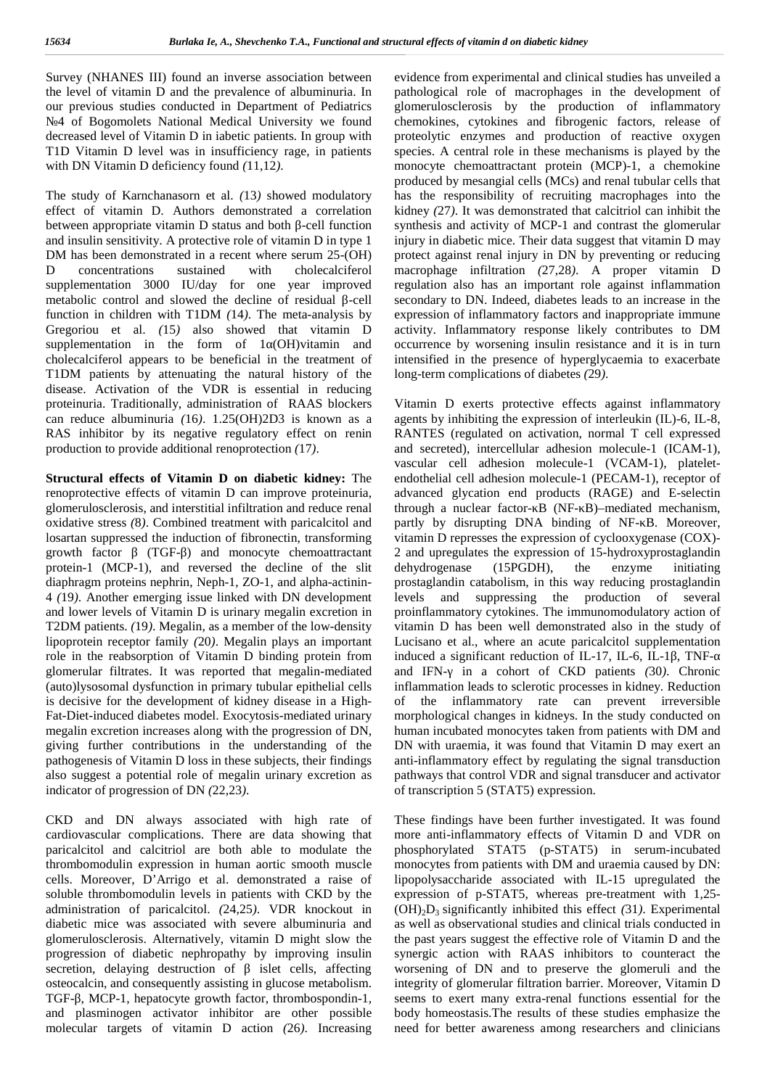Survey (NHANES III) found an inverse association between the level of vitamin D and the prevalence of albuminuria. In our previous studies conducted in Department of Pediatrics

№4 of Bogomolets National Medical University we found decreased level of Vitamin D in iabetic patients. In group with T1D Vitamin D level was in insufficiency rage, in patients with DN Vitamin D deficiency found *(*11,12*)*.

The study of Karnchanasorn et al. *(*13*)* showed modulatory effect of vitamin D. Authors demonstrated a correlation between appropriate vitamin D status and both -cell function and insulin sensitivity. A protective role of vitamin D in type 1 DM has been demonstrated in a recent where serum 25-(OH) D concentrations sustained with cholecalciferol supplementation 3000 IU/day for one year improved metabolic control and slowed the decline of residual -cell function in children with T1DM *(*14*)*. The meta-analysis by Gregoriou et al. *(*15*)* also showed that vitamin D supplementation in the form of 1 (OH)vitamin and cholecalciferol appears to be beneficial in the treatment of T1DM patients by attenuating the natural history of the disease. Activation of the VDR is essential in reducing proteinuria. Traditionally, administration of RAAS blockers can reduce albuminuria *(*16*)*. 1.25(OH)2D3 is known as a RAS inhibitor by its negative regulatory effect on renin production to provide additional renoprotection *(*17*)*.

**Structural effects of Vitamin D on diabetic kidney:** The renoprotective effects of vitamin D can improve proteinuria, glomerulosclerosis, and interstitial infiltration and reduce renal oxidative stress *(*8*)*. Combined treatment with paricalcitol and losartan suppressed the induction of fibronectin, transforming growth factor (TGF-) and monocyte chemoattractant protein-1 (MCP-1), and reversed the decline of the slit diaphragm proteins nephrin, Neph-1, ZO-1, and alpha-actinin- 4 *(*19*)*. Another emerging issue linked with DN development and lower levels of Vitamin D is urinary megalin excretion in T2DM patients. *(*19*)*. Megalin, as a member of the low-density lipoprotein receptor family *(*20*)*. Megalin plays an important role in the reabsorption of Vitamin D binding protein from glomerular filtrates. It was reported that megalin-mediated (auto)lysosomal dysfunction in primary tubular epithelial cells is decisive for the development of kidney disease in a High- Fat-Diet-induced diabetes model. Exocytosis-mediated urinary megalin excretion increases along with the progression of DN, giving further contributions in the understanding of the pathogenesis of Vitamin D loss in these subjects, their findings also suggest a potential role of megalin urinary excretion as indicator of progression of DN (22,23).<br>CKD and DN always associated with high rate of

cardiovascular complications. There are data showing that paricalcitol and calcitriol are both able to modulate the thrombomodulin expression in human aortic smooth muscle cells. Moreover, D'Arrigo et al. demonstrated a raise of soluble thrombomodulin levels in patients with CKD by the administration of paricalcitol. *(*24,25*)*. VDR knockout in diabetic mice was associated with severe albuminuria and glomerulosclerosis. Alternatively, vitamin D might slow the progression of diabetic nephropathy by improving insulin secretion, delaying destruction of islet cells, affecting osteocalcin, and consequently assisting in glucose metabolism. TGF-, MCP-1, hepatocyte growth factor, thrombospondin-1, and plasminogen activator inhibitor are other possible molecular targets of vitamin D action *(*26*)*. Increasing

evidence from experimental and clinical studies has unveiled a pathological role of macrophages in the development of glomerulosclerosis by the production of inflammatory chemokines, cytokines and fibrogenic factors, release of proteolytic enzymes and production of reactive oxygen species. A central role in these mechanisms is played by the monocyte chemoattractant protein (MCP)-1, a chemokine produced by mesangial cells (MCs) and renal tubular cells that has the responsibility of recruiting macrophages into the kidney *(*27*)*. It was demonstrated that calcitriol can inhibit the synthesis and activity of MCP-1 and contrast the glomerular injury in diabetic mice. Their data suggest that vitamin D may protect against renal injury in DN by preventing or reducing macrophage infiltration *(*27,28*)*. A proper vitamin D regulation also has an important role against inflammation secondary to DN. Indeed, diabetes leads to an increase in the expression of inflammatory factors and inappropriate immune activity. Inflammatory response likely contributes to DM occurrence by worsening insulin resistance and it is in turn intensified in the presence of hyperglycaemia to exacerbate long-term complications of diabetes *(*29*)*.

Vitamin D exerts protective effects against inflammatory agents by inhibiting the expression of interleukin (IL)-6, IL-8, RANTES (regulated on activation, normal T cell expressed and secreted), intercellular adhesion molecule-1 (ICAM-1), vascular cell adhesion molecule-1 (VCAM-1), platelet endothelial cell adhesion molecule-1 (PECAM-1), receptor of advanced glycation end products (RAGE) and E-selectin through a nuclear factor- B (NF-B)–mediated mechanism, partly by disrupting DNA binding of NF-B. Moreover, vitamin D represses the expression of cyclooxygenase (COX)- 2 and upregulates the expression of 15-hydroxyprostaglandin dehydrogenase (15PGDH), the enzyme initiating prostaglandin catabolism, in this way reducing prostaglandin levels and suppressing the production of several proinflammatory cytokines. The immunomodulatory action of vitamin D has been well demonstrated also in the study of Lucisano et al., where an acute paricalcitol supplementation induced a significant reduction of IL-17, IL-6, IL-1, TNFand IFN- in a cohort of CKD patients (30). Chronic inflammation leads to sclerotic processes in kidney. Reduction of the inflammatory rate can prevent irreversible morphological changes in kidneys. In the study conducted on human incubated monocytes taken from patients with DM and DN with uraemia, it was found that Vitamin D may exert an anti-inflammatory effect by regulating the signal transduction pathways that control VDR and signal transducer and activator of transcription 5 (STAT5) expression.

These findings have been further investigated. It was found more anti-inflammatory effects of Vitamin D and VDR on phosphorylated STAT5 (p-STAT5) in serum-incubated monocytes from patients with DM and uraemia caused by DN: lipopolysaccharide associated with IL-15 upregulated the expression of p-STAT5, whereas pre-treatment with 1,25-  $(OH)<sub>2</sub>D<sub>3</sub>$  significantly inhibited this effect (31). Experimental as well as observational studies and clinical trials conducted in the past years suggest the effective role of Vitamin D and the synergic action with RAAS inhibitors to counteract the worsening of DN and to preserve the glomeruli and the integrity of glomerular filtration barrier. Moreover, Vitamin D seems to exert many extra-renal functions essential for the body homeostasis.The results of these studies emphasize the need for better awareness among researchers and clinicians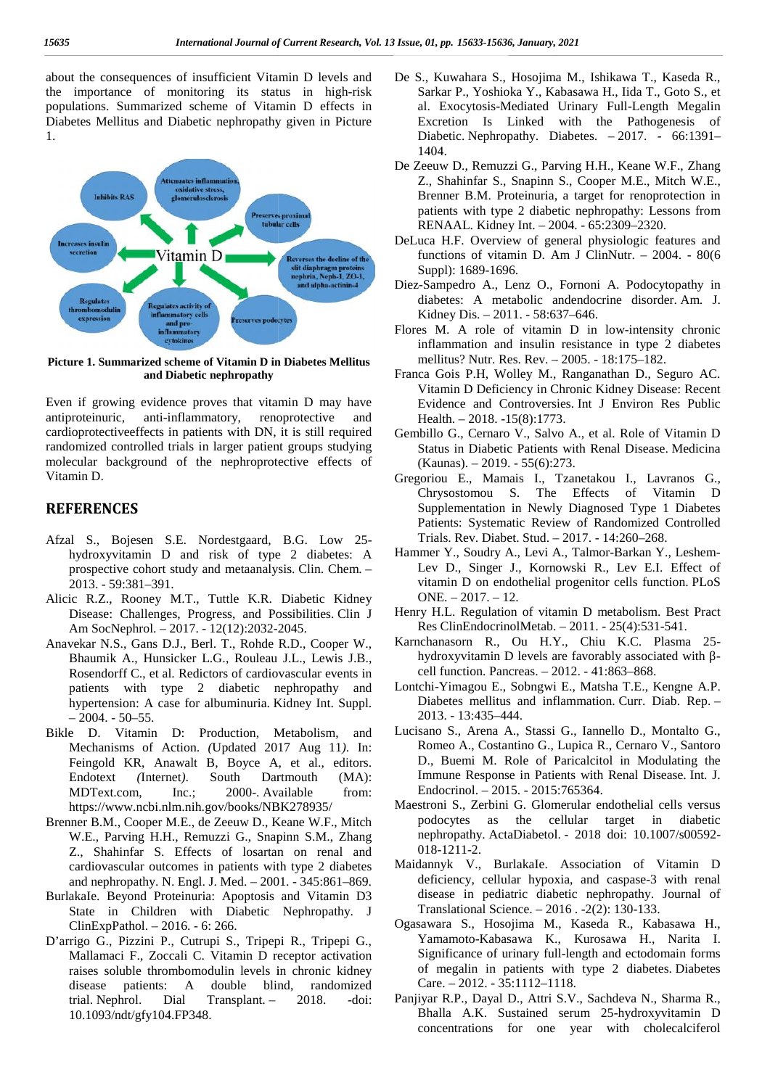about the consequences of insufficient Vitamin D levels and the importance of monitoring its status in high-risk populations. Summarized scheme of Vitamin D effects in Diabetes Mellitus and Diabetic nephropathy given in Picture 1. about the consequences of insufficient Vitamin D levels and<br>the importance of monitoring its status in high-risk<br>populations. Summarized scheme of Vitamin D effects in<br>Diabetes Mellitus and Diabetic nephropathy given in Pi



**Picture 1. Summarized scheme of Vitamin D in Diabetes Mellitus of and Diabetic nephropathy**

Even if growing evidence proves that vitamin D may have antiproteinuric, anti-inflammatory, renoprotective and cardioprotectiveeffects in patients with DN, it is still required randomized controlled trials in larger patient groups studying molecular background of the nephroprotective effects of Vitamin D. Even if growing evidence proves that vitamin D may have antiproteinuric, anti-inflammatory, renoprotective and cardioprotectiveeffects in patients with DN, it is still required randomized controlled trials in larger patien

## **REFERENCES REFERENCES**

- Afzal S., Bojesen S.E. Nordestgaard, B.G. Low 25 hydroxyvitamin D and risk of type 2 diabetes: A Afzal S., Bojesen S.E. Nordestgaard, B.G. Low 25-<br>hydroxyvitamin D and risk of type 2 diabetes: A Ham<br>prospective cohort study and metaanalysis. Clin. Chem. – 2013. - 59:381–391.
- Alicic R.Z., Rooney M.T., Tuttle K.R. Diabetic Kidney Disease: Challenges, Progress, and Possibilities. Clin J Am SocNephrol. – 2017. - 12(12):2032-2045.
- Anavekar N.S., Gans D.J., Berl. T., Rohde R.D., Cooper W., Bhaumik A., Hunsicker L.G., Rouleau J.L., Lewis J.B., Rosendorff C., et al. Redictors of cardiovascular events in patients with type 2 diabetic nephropathy and hypertension: A case for albuminuria. Kidney Int. Suppl.  $-2004. -50-55.$ 2013. - 59:381–391.<br>
Alicic R.Z., Rooney M.T., Tuttle K.R. Diabetic Kidney<br>
Disease: Challenges, Progress, and Possibilities. Clin J<br>
Am SocNephrol. – 2017. - 12(12):2032-2045.<br>
Anavekar N.S., Gans D.J., Berl. T., Rohde R.
- Bikle D. Vitamin D: Production, Metabolism, and Mechanisms of Action. *(*Updated 2017 Aug 11*)*. In: Feingold KR, Anawalt B, Boyce A, et al., editors. Endotext *(*Internet*)*. South Dartmouth (MA): MDText.com, Inc.; 2000-. Available from: https://www.ncbi.nlm.nih.gov/books/NBK278935/ - 2004. - 50–55.<br>
Bikle D. Vitamin D: Production, Metabolism, and<br>
Mechanisms of Action. (Updated 2017 Aug 11). In:<br>
Feingold KR, Anawalt B, Boyce A, et al., editors.<br>
Endotext (Internet). South Dartmouth (MA):<br>
MDText.com
- Brenner B.M., Cooper M.E., de Zeeuw D., Keane W.F., Mitch W.E., Parving H.H., Remuzzi G., Snapinn S.M., Zhang Z., Shahinfar S. Effects of losartan on renal and cardiovascular outcomes in patients with type 2 diabetes and nephropathy. N. Engl. J. Med. – 2001. - 345:861–869.
- BurlakaIe. Beyond Proteinuria: Apoptosis and Vitamin D3 State in Children with Diabetic Nephropathy. J ClinExpPathol. – 2016. - 6: 266.
- D'arrigo G., Pizzini P., Cutrupi S., Tripepi R., Tripepi G., D'arrigo G., Mallamaci F., Zoccali C. Vitamin D receptor activation raises soluble thrombomodulin levels in chronic kidney disease patients: A double blind, randomized trial. Nephrol. Dial Transplant. – 2018. -doi: 10.1093/ndt/gfy104.FP348. Mallamaci F., Zoccali C. Vitamin D receptor activation<br>raises soluble thrombomodulin levels in chronic kidney<br>disease patients: A double blind, randomized<br>trial. Nephrol. Dial Transplant. – 2018. -doi:
- De S., Kuwahara S., Hosojima M., Ishikawa T., Kaseda R., Sarkar P., Yoshioka Y., Kabasawa H., Iida T., Goto S., et al. Exocytosis-Mediated Urinary Full-Length Megalin Excretion Is Linked with the Pathogenesis of Diabetic. Nephropathy. Diabetes. – 2017. - 66:1391– 1404.
- De Zeeuw D., Remuzzi G., Parving H.H., Keane W.F., Zhang Z., Shahinfar S., Snapinn S., Cooper M.E., Mitch W.E., Brenner B.M. Proteinuria, a target for renoprotection in patients with type 2 diabetic nephropathy: Lessons from RENAAL. Kidney Int. – 2004. - 65:2309–2320. Exocytosis-Mediated Urinary Full-Length Megalin<br>retion Is Linked with the Pathogenesis of<br>betic. Nephropathy. Diabetes.  $-2017.$  - 66:1391–<br>4.<br>w D., Remuzzi G., Parving H.H., Keane W.F., Zhang<br>Shahinfar S., Snapinn S., Coo
- DeLuca H.F. Overview of general physiologic features and functions of vitamin D. Am J ClinNutr. – 2004. - 80(6 Suppl): 1689-1696.
- Diez-Sampedro A., Lenz O., Fornoni A. Podocytopathy in diabetes: A metabolic andendocrine disorder. Am. J. Kidney Dis. – 2011. - 58:637–646.
- Flores M. A role of vitamin D in low-intensity chronic inflammation and insulin resistance in type 2 diabetes mellitus? Nutr. Res. Rev. – 2005. - 18:175–182. Kidney Dis. – 2011. - 58:637–646.<br>es M. A role of vitamin D in low-intensity chronic<br>inflammation and insulin resistance in type 2 diabetes<br>mellitus? Nutr. Res. Rev. – 2005. - 18:175–182.<br>ca Gois P.H, Wolley M., Ranganatha
- Franca Gois P.H, Wolley M., Ranganathan D., Seguro AC. Evidence and Controversies. Int J Environ Res Public Health. – 2018. -15(8):1773.
- Gembillo G., Cernaro V., Salvo A., et al. Role of Vitamin D Status in Diabetic Patients with Renal Disease. Medicina (Kaunas). – 2019. - 55(6):273.
- Gregoriou E., Mamais I., Tzanetakou I., Lavranos G., Chrysostomou S. The Effects of Vitamin D Supplementation in Newly Diagnosed Type 1 Diabetes Patients: Systematic Review of Randomized Controlled Trials. Rev. Diabet. Stud. – 2017. - 14:260–268. ce and Controversies. Int J Environ Res Public<br>
-2018. -15(8):1773.<br>
E., Cernaro V., Salvo A., et al. Role of Vitamin D<br>
in Diabetic Patients with Renal Disease. Medicina<br>
in Diabetic Patients with Renal Disease. Medicina<br>
- Hammer Y., Soudry A., Levi A., Talmor-Barkan Y., Leshem-Lev D., Singer J., Kornowski R., Lev E.I. Effect of vitamin D on endothelial progenitor cells function. PLoS  $ONE. - 2017. - 12.$ Karnchanasorn R., Chiu K.C. Plasma 25-<br>
Karnchanasorn R., Ou H.Y., Chiu K.C. Plasma 25-<br>
Karnchanasorn R., Ou H.Y., Chiu K.C. Plasma 25-
- Henry H.L. Regulation of vitamin D metabolism. Best Pract Res ClinEndocrinolMetab. – 2011. - 25(4):531-541.
- hydroxyvitamin D levels are favorably associated with cell function. Pancreas. – 2012. - 41:863–868.
- Lontchi-Yimagou E., Sobngwi E., Matsha T.E., Kengne A.P. Diabetes mellitus and inflammation. Curr. Diab. Rep. – 2013. - 13:435–444. cell function. Pancreas. – 2012. - 41:863–868.<br>
Lontchi-Yimagou E., Sobngwi E., Matsha T.E., Kengne A.P.<br>
Diabetes mellitus and inflammation. Curr. Diab. Rep. –<br>
2013. - 13:435–444.<br>
Lucisano S., Arena A., Stassi G., Ianne
- Romeo A., Costantino G., Lupica R., Cernaro V., Santoro D., Buemi M. Role of Paricalcitol in Modulating the Immune Response in Patients with Renal Disease. Int. J. Endocrinol. – 2015. - 2015:765364.
- Maestroni S., Zerbini G. Glomerular endothelial cells versus the cellular target in diabetic Endocrinol. - 2015. - 2015:765364.<br>stroni S., Zerbini G. Glomerular endothelial cells versus<br>podocytes as the cellular target in diabetic<br>nephropathy. ActaDiabetol. - 2018 doi: 10.1007/s00592-018-1211-2.
- Maidannyk V., BurlakaIe. Association of Vitamin D deficiency, cellular hypoxia, and caspase-3 with renal caspase-3 disease in pediatric diabetic nephropathy. Journal of Translational Science. – 2016 . -2(2): 130-133.
- Ogasawara S., Hosojima M., Kaseda R., Kabasawa H., Yamamoto-Kabasawa K., Kurosawa H., Narita I. Significance of urinary full-length and ectodomain forms Translational Science. – 2016 . -2(2): 130-133.<br>
sawara S., Hosojima M., Kaseda R., Kabasawa H.,<br>
Yamamoto-Kabasawa K., Kurosawa H., Narita I.<br>
Significance of urinary full-length and ectodomain forms<br>
of megalin in patien Care. – 2012. - 35:1112–1118. Care. – 2012. - 35:1112–1118.<br>Panjiyar R.P., Dayal D., Attri S.V., Sachdeva N., Sharma R.,
- Bhalla A.K. Sustained serum 25-hydroxyvitamin D Bhalla A.K. Sustained serum 25-hydroxyvitamin D<br>
concentrations for one year with cholecalciferol